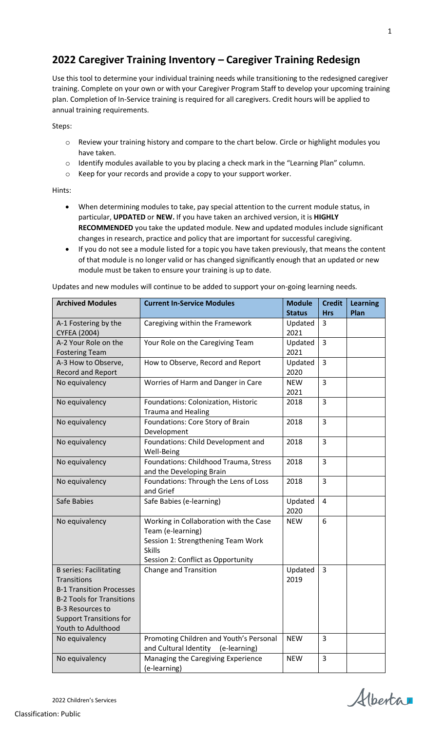## **2022 Caregiver Training Inventory – Caregiver Training Redesign**

Use this tool to determine your individual training needs while transitioning to the redesigned caregiver training. Complete on your own or with your Caregiver Program Staff to develop your upcoming training plan. Completion of In-Service training is required for all caregivers. Credit hours will be applied to annual training requirements.

Steps:

- o Review your training history and compare to the chart below. Circle or highlight modules you have taken.
- $\circ$  Identify modules available to you by placing a check mark in the "Learning Plan" column.
- o Keep for your records and provide a copy to your support worker.

Hints:

- When determining modules to take, pay special attention to the current module status, in particular, **UPDATED** or **NEW.** If you have taken an archived version, it is **HIGHLY RECOMMENDED** you take the updated module. New and updated modules include significant changes in research, practice and policy that are important for successful caregiving.
- If you do not see a module listed for a topic you have taken previously, that means the content of that module is no longer valid or has changed significantly enough that an updated or new module must be taken to ensure your training is up to date.

Updates and new modules will continue to be added to support your on-going learning needs.

| <b>Archived Modules</b>                                                                                                                                                                                       | <b>Current In-Service Modules</b>                                                                                                                        | <b>Module</b><br><b>Status</b> | <b>Credit</b><br><b>Hrs</b> | <b>Learning</b><br>Plan |
|---------------------------------------------------------------------------------------------------------------------------------------------------------------------------------------------------------------|----------------------------------------------------------------------------------------------------------------------------------------------------------|--------------------------------|-----------------------------|-------------------------|
| A-1 Fostering by the<br><b>CYFEA (2004)</b>                                                                                                                                                                   | Caregiving within the Framework                                                                                                                          | Updated<br>2021                | 3                           |                         |
| A-2 Your Role on the<br><b>Fostering Team</b>                                                                                                                                                                 | Your Role on the Caregiving Team                                                                                                                         | Updated<br>2021                | 3                           |                         |
| A-3 How to Observe,<br><b>Record and Report</b>                                                                                                                                                               | How to Observe, Record and Report                                                                                                                        | Updated<br>2020                | 3                           |                         |
| No equivalency                                                                                                                                                                                                | Worries of Harm and Danger in Care                                                                                                                       | <b>NEW</b><br>2021             | 3                           |                         |
| No equivalency                                                                                                                                                                                                | Foundations: Colonization, Historic<br><b>Trauma and Healing</b>                                                                                         | 2018                           | 3                           |                         |
| No equivalency                                                                                                                                                                                                | Foundations: Core Story of Brain<br>Development                                                                                                          | 2018                           | 3                           |                         |
| No equivalency                                                                                                                                                                                                | Foundations: Child Development and<br>Well-Being                                                                                                         | 2018                           | 3                           |                         |
| No equivalency                                                                                                                                                                                                | Foundations: Childhood Trauma, Stress<br>and the Developing Brain                                                                                        | 2018                           | 3                           |                         |
| No equivalency                                                                                                                                                                                                | Foundations: Through the Lens of Loss<br>and Grief                                                                                                       | 2018                           | 3                           |                         |
| Safe Babies                                                                                                                                                                                                   | Safe Babies (e-learning)                                                                                                                                 | Updated<br>2020                | 4                           |                         |
| No equivalency                                                                                                                                                                                                | Working in Collaboration with the Case<br>Team (e-learning)<br>Session 1: Strengthening Team Work<br><b>Skills</b><br>Session 2: Conflict as Opportunity | <b>NEW</b>                     | 6                           |                         |
| <b>B</b> series: Facilitating<br><b>Transitions</b><br><b>B-1 Transition Processes</b><br><b>B-2 Tools for Transitions</b><br><b>B-3 Resources to</b><br><b>Support Transitions for</b><br>Youth to Adulthood | <b>Change and Transition</b>                                                                                                                             | Updated<br>2019                | 3                           |                         |
| No equivalency                                                                                                                                                                                                | Promoting Children and Youth's Personal<br>and Cultural Identity<br>(e-learning)                                                                         | <b>NEW</b>                     | 3                           |                         |
| No equivalency                                                                                                                                                                                                | Managing the Caregiving Experience<br>(e-learning)                                                                                                       | <b>NEW</b>                     | 3                           |                         |

Alberta

1